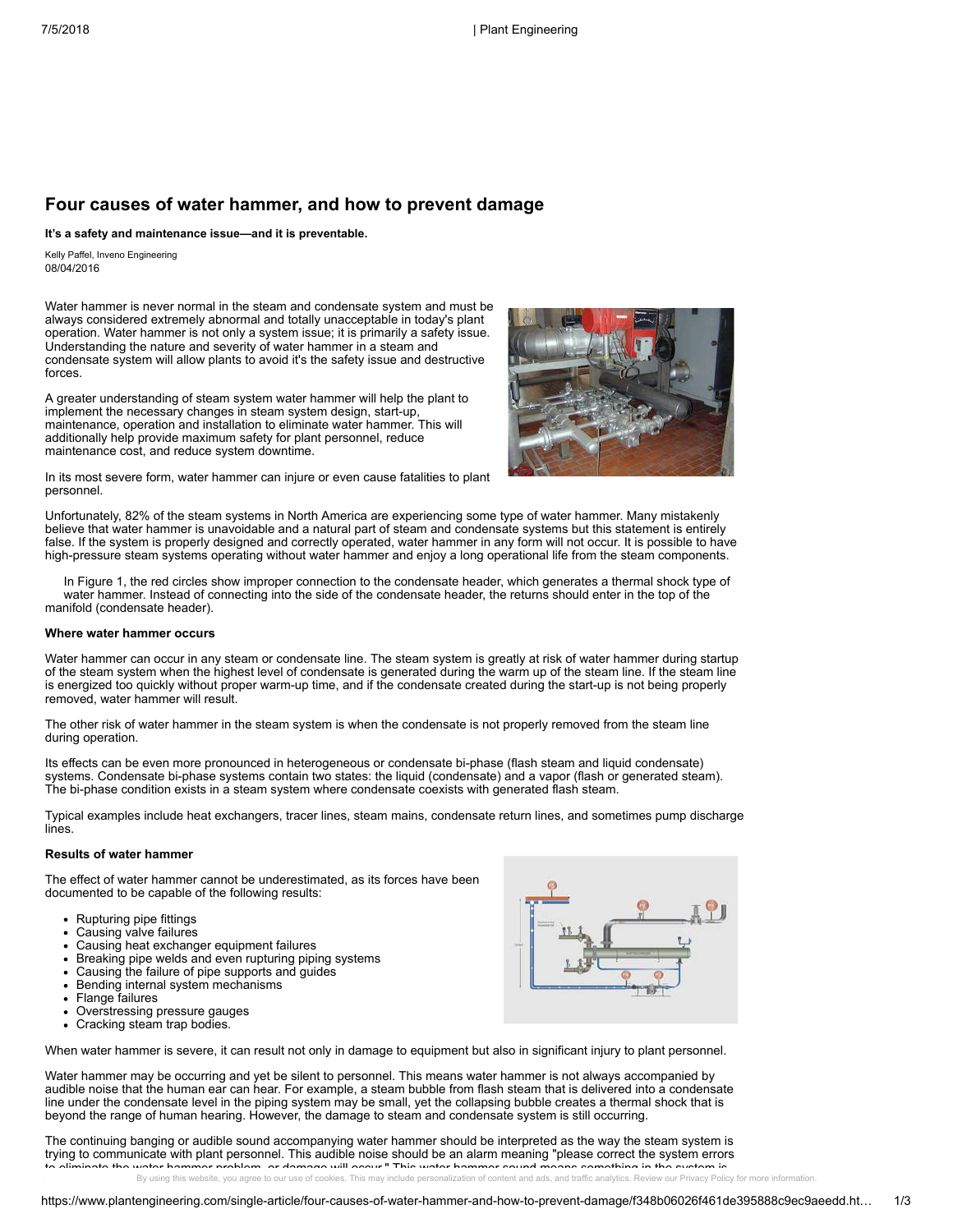# **Four causes of water hammer, and how to prevent damage**

**It's a safety and maintenance issue—and it is preventable.**

08/04/2016 Kelly Paffel, Inveno Engineering

Water hammer is never normal in the steam and condensate system and must be always considered extremely abnormal and totally unacceptable in today's plant operation. Water hammer is not only a system issue; it is primarily a safety issue. Understanding the nature and severity of water hammer in a steam and condensate system will allow plants to avoid it's the safety issue and destructive forces.

A greater understanding of steam system water hammer will help the plant to implement the necessary changes in steam system design, start-up, maintenance, operation and installation to eliminate water hammer. This will additionally help provide maximum safety for plant personnel, reduce maintenance cost, and reduce system downtime.



In its most severe form, water hammer can injure or even cause fatalities to plant personnel.

Unfortunately, 82% of the steam systems in North America are experiencing some type of water hammer. Many mistakenly believe that water hammer is unavoidable and a natural part of steam and condensate systems but this statement is entirely false. If the system is properly designed and correctly operated, water hammer in any form will not occur. It is possible to have high-pressure steam systems operating without water hammer and enjoy a long operational life from the steam components.

In Figure 1, the red circles show improper connection to the condensate header, which generates a thermal shock type of water hammer. Instead of connecting into the side of the condensate header, the returns should enter in the top of the manifold (condensate header).

# **Where water hammer occurs**

Water hammer can occur in any steam or condensate line. The steam system is greatly at risk of water hammer during startup of the steam system when the highest level of condensate is generated during the warm up of the steam line. If the steam line is energized too quickly without proper warm-up time, and if the condensate created during the start-up is not being properly removed, water hammer will result.

The other risk of water hammer in the steam system is when the condensate is not properly removed from the steam line during operation.

Its effects can be even more pronounced in heterogeneous or condensate bi-phase (flash steam and liquid condensate) systems. Condensate bi-phase systems contain two states: the liquid (condensate) and a vapor (flash or generated steam). The bi-phase condition exists in a steam system where condensate coexists with generated flash steam.

Typical examples include heat exchangers, tracer lines, steam mains, condensate return lines, and sometimes pump discharge lines.

#### **Results of water hammer**

The effect of water hammer cannot be underestimated, as its forces have been documented to be capable of the following results:

- Rupturing pipe fittings
- Causing valve failures
- Causing heat exchanger equipment failures
- Breaking pipe welds and even rupturing piping systems
- Causing the failure of pipe supports and guides
- Bending internal system mechanisms
- Flange failures
- Overstressing pressure gauges
- Cracking steam trap bodies.



When water hammer is severe, it can result not only in damage to equipment but also in significant injury to plant personnel.

Water hammer may be occurring and yet be silent to personnel. This means water hammer is not always accompanied by audible noise that the human ear can hear. For example, a steam bubble from flash steam that is delivered into a condensate line under the condensate level in the piping system may be small, yet the collapsing bubble creates a thermal shock that is beyond the range of human hearing. However, the damage to steam and condensate system is still occurring.

The continuing banging or audible sound accompanying water hammer should be interpreted as the way the steam system is trying to communicate with plant personnel. This audible noise should be an alarm meaning "please correct the system errors to eliminate the water hammer problem, or damage will occur." This water hammer sound means something in the system is

By using this website, you agree to our use of cookies. This may include personalization of content and ads, and traffic analytics. Review our [Privacy](https://www.plantengineering.com/about-us/privacy-policy.htm) Policy for more information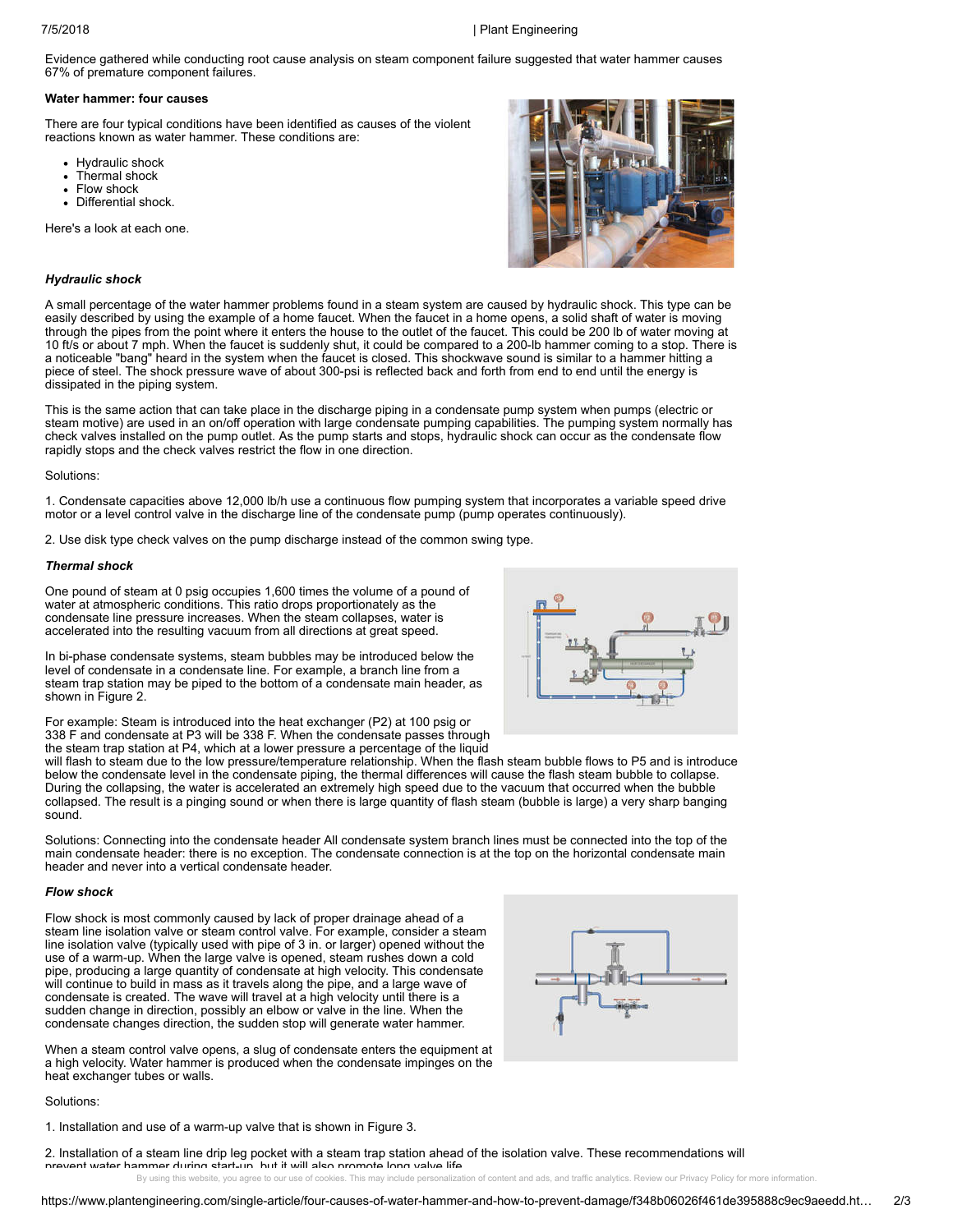# 7/5/2018 | Plant Engineering

Evidence gathered while conducting root cause analysis on steam component failure suggested that water hammer causes 67% of premature component failures.

#### **Water hammer: four causes**

There are four typical conditions have been identified as causes of the violent reactions known as water hammer. These conditions are:

- Hydraulic shock
- Thermal shock
- Flow shock
- Differential shock.

Here's a look at each one.



# *Hydraulic shock*

A small percentage of the water hammer problems found in a steam system are caused by hydraulic shock. This type can be easily described by using the example of a home faucet. When the faucet in a home opens, a solid shaft of water is moving through the pipes from the point where it enters the house to the outlet of the faucet. This could be 200 lb of water moving at 10 ft/s or about 7 mph. When the faucet is suddenly shut, it could be compared to a 200-lb hammer coming to a stop. There is a noticeable "bang" heard in the system when the faucet is closed. This shockwave sound is similar to a hammer hitting a piece of steel. The shock pressure wave of about 300-psi is reflected back and forth from end to end until the energy is dissipated in the piping system.

This is the same action that can take place in the discharge piping in a condensate pump system when pumps (electric or steam motive) are used in an on/off operation with large condensate pumping capabilities. The pumping system normally has check valves installed on the pump outlet. As the pump starts and stops, hydraulic shock can occur as the condensate flow rapidly stops and the check valves restrict the flow in one direction.

#### Solutions:

1. Condensate capacities above 12,000 lb/h use a continuous flow pumping system that incorporates a variable speed drive motor or a level control valve in the discharge line of the condensate pump (pump operates continuously).

2. Use disk type check valves on the pump discharge instead of the common swing type.

### *Thermal shock*

One pound of steam at 0 psig occupies 1,600 times the volume of a pound of water at atmospheric conditions. This ratio drops proportionately as the condensate line pressure increases. When the steam collapses, water is accelerated into the resulting vacuum from all directions at great speed.

In bi-phase condensate systems, steam bubbles may be introduced below the level of condensate in a condensate line. For example, a branch line from a steam trap station may be piped to the bottom of a condensate main header, as shown in Figure 2.

For example: Steam is introduced into the heat exchanger (P2) at 100 psig or 338 F and condensate at P3 will be 338 F. When the condensate passes through the steam trap station at P4, which at a lower pressure a percentage of the liquid



will flash to steam due to the low pressure/temperature relationship. When the flash steam bubble flows to P5 and is introduce below the condensate level in the condensate piping, the thermal differences will cause the flash steam bubble to collapse. During the collapsing, the water is accelerated an extremely high speed due to the vacuum that occurred when the bubble collapsed. The result is a pinging sound or when there is large quantity of flash steam (bubble is large) a very sharp banging sound.

Solutions: Connecting into the condensate header All condensate system branch lines must be connected into the top of the main condensate header: there is no exception. The condensate connection is at the top on the horizontal condensate main header and never into a vertical condensate header.

## *Flow shock*

Flow shock is most commonly caused by lack of proper drainage ahead of a steam line isolation valve or steam control valve. For example, consider a steam line isolation valve (typically used with pipe of 3 in. or larger) opened without the use of a warm-up. When the large valve is opened, steam rushes down a cold pipe, producing a large quantity of condensate at high velocity. This condensate will continue to build in mass as it travels along the pipe, and a large wave of condensate is created. The wave will travel at a high velocity until there is a sudden change in direction, possibly an elbow or valve in the line. When the condensate changes direction, the sudden stop will generate water hammer.

When a steam control valve opens, a slug of condensate enters the equipment at a high velocity. Water hammer is produced when the condensate impinges on the heat exchanger tubes or walls.

Solutions:

1. Installation and use of a warm-up valve that is shown in Figure 3.

2. Installation of a steam line drip leg pocket with a steam trap station ahead of the isolation valve. These recommendations will prevent water hammer during start-up, but it will also promote long valve life By using this website, you agree to our use of cookies. This may include personalization of content and ads, and traffic analytics. Review our [Privacy](https://www.plantengineering.com/about-us/privacy-policy.htm) Policy for more information

https://www.plantengineering.com/single-article/four-causes-of-water-hammer-and-how-to-prevent-damage/f348b06026f461de395888c9ec9aeedd.ht… 2/3